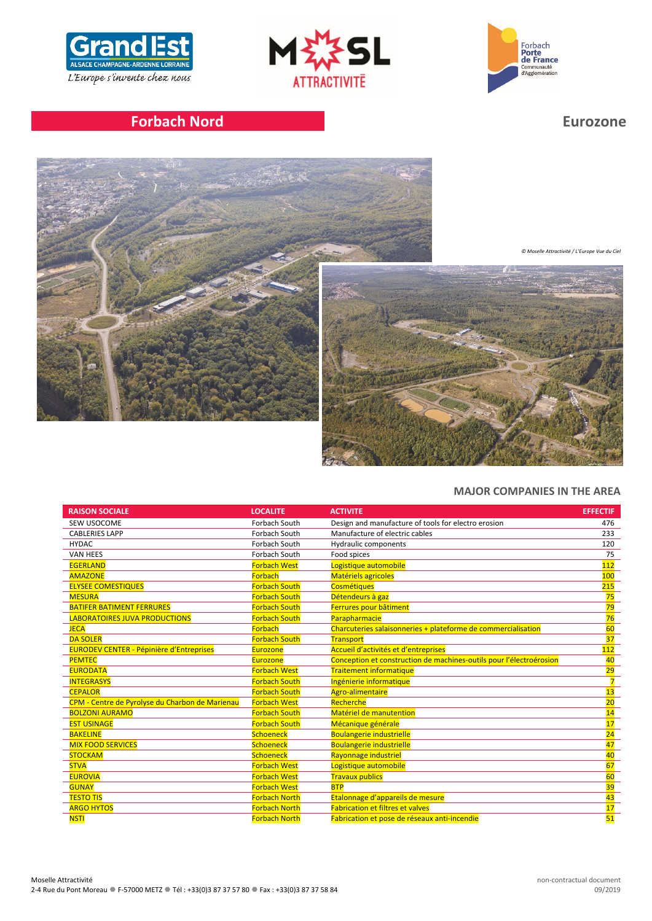





# **Forbach Nord Eurozone**



*© Moselle Attractivité / L'Europe Vue du Ciel*



# **MAJOR COMPANIES IN THE AREA**

| <b>RAISON SOCIALE</b>                           | <b>LOCALITE</b>      | <b>ACTIVITE</b>                                                     | <b>EFFECTIF</b> |
|-------------------------------------------------|----------------------|---------------------------------------------------------------------|-----------------|
| SEW USOCOME                                     | Forbach South        | Design and manufacture of tools for electro erosion                 | 476             |
| <b>CABLERIES LAPP</b>                           | Forbach South        | Manufacture of electric cables                                      | 233             |
| <b>HYDAC</b>                                    | Forbach South        | Hydraulic components                                                | 120             |
| <b>VAN HEES</b>                                 | Forbach South        | Food spices                                                         | 75              |
| <b>EGERLAND</b>                                 | <b>Forbach West</b>  | Logistique automobile                                               | 112             |
| <b>AMAZONE</b>                                  | <b>Forbach</b>       | <b>Matériels agricoles</b>                                          | 100             |
| <b>ELYSEE COMESTIQUES</b>                       | <b>Forbach South</b> | <b>Cosmétiques</b>                                                  | 215             |
| <b>MESURA</b>                                   | <b>Forbach South</b> | Détendeurs à gaz                                                    | 75              |
| <b>BATIFER BATIMENT FERRURES</b>                | <b>Forbach South</b> | Ferrures pour bâtiment                                              | 79              |
| <b>ABORATOIRES JUVA PRODUCTIONS</b>             | <b>Forbach South</b> | Parapharmacie                                                       | 76              |
| <b>JECA</b>                                     | <b>Forbach</b>       | Charcuteries salaisonneries + plateforme de commercialisation       | 60              |
| <b>DA SOLER</b>                                 | <b>Forbach South</b> | Transport                                                           | 37              |
| <b>EURODEV CENTER - Pépinière d'Entreprises</b> | Eurozone             | Accueil d'activités et d'entreprises                                | 112             |
| <b>PEMTEC</b>                                   | <b>Eurozone</b>      | Conception et construction de machines-outils pour l'électroérosion | 40              |
| <b>EURODATA</b>                                 | <b>Forbach West</b>  | <b>Traitement informatique</b>                                      | 29              |
| <b>INTEGRASYS</b>                               | <b>Forbach South</b> | Ingénierie informatique                                             |                 |
| <b>CEPALOR</b>                                  | <b>Forbach South</b> | <b>Agro-alimentaire</b>                                             | 13              |
| CPM - Centre de Pyrolyse du Charbon de Marienau | <b>Forbach West</b>  | Recherche                                                           | 20              |
| <b>BOLZONI AURAMO</b>                           | <b>Forbach South</b> | Matériel de manutention                                             | 14              |
| <b>EST USINAGE</b>                              | <b>Forbach South</b> | Mécanique générale                                                  | 17              |
| <b>BAKELINE</b>                                 | Schoeneck            | <b>Boulangerie industrielle</b>                                     | 24              |
| <b>MIX FOOD SERVICES</b>                        | Schoeneck            | <b>Boulangerie industrielle</b>                                     | 47              |
| <b>STOCKAM</b>                                  | Schoeneck            | Rayonnage industriel                                                | 40              |
| <b>STVA</b>                                     | <b>Forbach West</b>  | Logistique automobile                                               | 67              |
| <b>EUROVIA</b>                                  | <b>Forbach West</b>  | <b>Travaux publics</b>                                              | 60              |
| <b>GUNAY</b>                                    | <b>Forbach West</b>  | <b>BTP</b>                                                          | 39              |
| <b>TESTO TIS</b>                                | <b>Forbach North</b> | Etalonnage d'appareils de mesure                                    | 43              |
| <b>ARGO HYTOS</b>                               | <b>Forbach North</b> | <b>Fabrication et filtres et valves</b>                             | 17              |
| <b>NSTI</b>                                     | <b>Forbach North</b> | Fabrication et pose de réseaux anti-incendie                        | 51              |